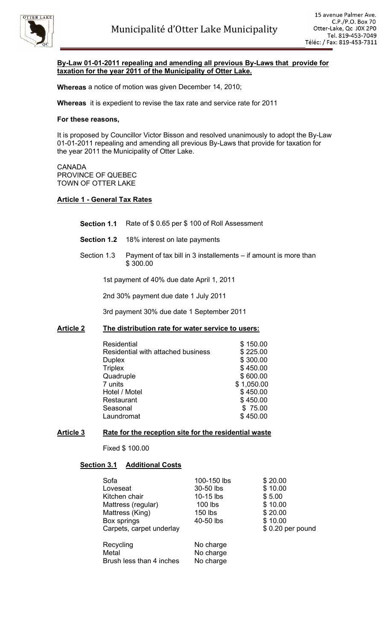

### **By-Law 01-01-2011 repealing and amending all previous By-Laws that provide for taxation for the year 2011 of the Municipality of Otter Lake.**

**Whereas** a notice of motion was given December 14, 2010;

**Whereas** it is expedient to revise the tax rate and service rate for 2011

### **For these reasons,**

It is proposed by Councillor Victor Bisson and resolved unanimously to adopt the By-Law 01-01-2011 repealing and amending all previous By-Laws that provide for taxation for the year 2011 the Municipality of Otter Lake.

#### CANADA PROVINCE OF QUEBEC TOWN OF OTTER LAKE

### **Article 1 - General Tax Rates**

- **Section 1.1** Rate of \$ 0.65 per \$ 100 of Roll Assessment
- **Section 1.2** 18% interest on late payments
- Section 1.3 Payment of tax bill in 3 installements if amount is more than \$ 300.00

1st payment of 40% due date April 1, 2011

2nd 30% payment due date 1 July 2011

3rd payment 30% due date 1 September 2011

### **Article 2 The distribution rate for water service to users:**

| Residential                        | \$150.00   |
|------------------------------------|------------|
| Residential with attached business | \$225.00   |
| <b>Duplex</b>                      | \$300.00   |
| <b>Triplex</b>                     | \$450.00   |
| Quadruple                          | \$600.00   |
| 7 units                            | \$1,050.00 |
| Hotel / Motel                      | \$450.00   |
| Restaurant                         | \$450.00   |
| Seasonal                           | \$75.00    |
| Laundromat                         | \$450.00   |

### **Article 3 Rate for the reception site for the residential waste**

Fixed \$ 100.00

# **Section 3.1 Additional Costs**

| Sofa                     | 100-150 lbs | \$20.00          |
|--------------------------|-------------|------------------|
| Loveseat                 | 30-50 lbs   | \$10.00          |
| Kitchen chair            | $10-15$ lbs | \$5.00           |
| Mattress (regular)       | 100 lbs     | \$10.00          |
| Mattress (King)          | 150 lbs     | \$20.00          |
| Box springs              | 40-50 lbs   | \$10.00          |
| Carpets, carpet underlay |             | \$0.20 per pound |
| Recycling                | No charge   |                  |
| Metal                    | No charge   |                  |
| Brush less than 4 inches | No charge   |                  |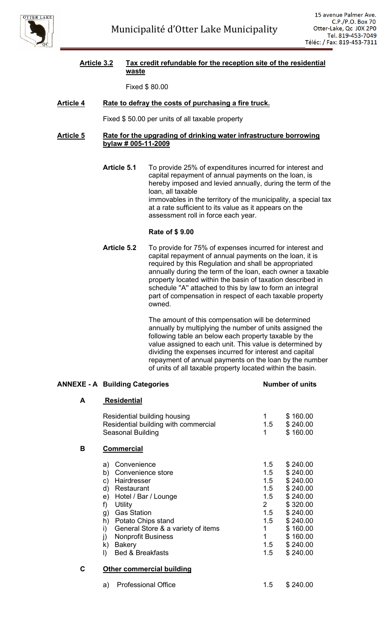

### **Article 3.2 Tax credit refundable for the reception site of the residential waste**

Fixed \$ 80.00

# **Article 4 Rate to defray the costs of purchasing a fire truck.**

Fixed \$ 50.00 per units of all taxable property

### **Article 5 Rate for the upgrading of drinking water infrastructure borrowing bylaw # 005-11-2009**

**Article 5.1** To provide 25% of expenditures incurred for interest and capital repayment of annual payments on the loan, is hereby imposed and levied annually, during the term of the loan, all taxable immovables in the territory of the municipality, a special tax at a rate sufficient to its value as it appears on the assessment roll in force each year.

### **Rate of \$ 9.00**

**Article 5.2** To provide for 75% of expenses incurred for interest and capital repayment of annual payments on the loan, it is required by this Regulation and shall be appropriated annually during the term of the loan, each owner a taxable property located within the basin of taxation described in schedule ''A'' attached to this by law to form an integral part of compensation in respect of each taxable property owned.

> The amount of this compensation will be determined annually by multiplying the number of units assigned the following table an below each property taxable by the value assigned to each unit. This value is determined by dividing the expenses incurred for interest and capital repayment of annual payments on the loan by the number of units of all taxable property located within the basin.

### **ANNEXE - A Building Categories Number of units**

| A | <b>Residential</b>                                                                                                                                                                                                                                                                                                            |                                                                                       |                                                                                                                                              |
|---|-------------------------------------------------------------------------------------------------------------------------------------------------------------------------------------------------------------------------------------------------------------------------------------------------------------------------------|---------------------------------------------------------------------------------------|----------------------------------------------------------------------------------------------------------------------------------------------|
|   | Residential building housing<br>Residential building with commercial<br>Seasonal Building                                                                                                                                                                                                                                     | 1<br>1.5<br>1                                                                         | \$160.00<br>\$240.00<br>\$160.00                                                                                                             |
| В | <b>Commercial</b>                                                                                                                                                                                                                                                                                                             |                                                                                       |                                                                                                                                              |
|   | Convenience<br>a)<br>Convenience store<br>b)<br>Hairdresser<br>C)<br>d)<br>Restaurant<br>Hotel / Bar / Lounge<br>e)<br>f)<br>Utility<br><b>Gas Station</b><br>g)<br>Potato Chips stand<br>h)<br>i)<br>General Store & a variety of items<br><b>Nonprofit Business</b><br>j)<br>k) Bakery<br><b>Bed &amp; Breakfasts</b><br>I) | 1.5<br>1.5<br>1.5<br>1.5<br>1.5<br>$\mathbf{2}$<br>1.5<br>1.5<br>1<br>1<br>1.5<br>1.5 | \$240.00<br>\$240.00<br>\$240.00<br>\$240.00<br>\$240.00<br>\$320.00<br>\$240.00<br>\$240.00<br>\$160.00<br>\$160.00<br>\$240.00<br>\$240.00 |
| C | <b>Other commercial building</b>                                                                                                                                                                                                                                                                                              |                                                                                       |                                                                                                                                              |
|   | <b>Professional Office</b><br>a)                                                                                                                                                                                                                                                                                              | 1.5                                                                                   | \$240.00                                                                                                                                     |